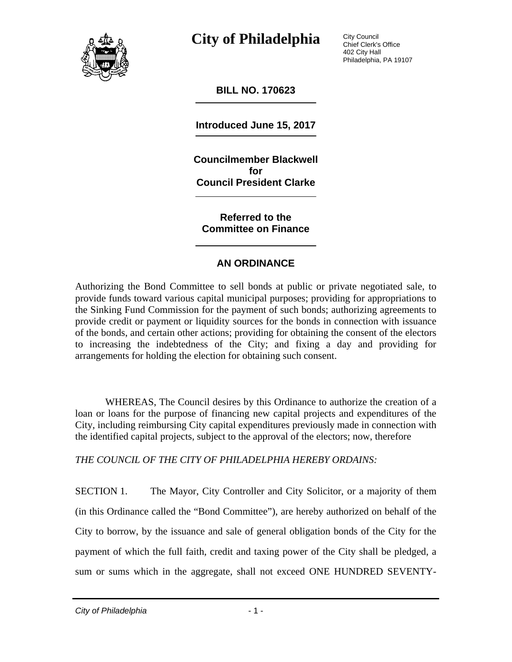

City Council Chief Clerk's Office 402 City Hall Philadelphia, PA 19107

**BILL NO. 170623** 

**Introduced June 15, 2017** 

**Councilmember Blackwell for Council President Clarke** 

**Referred to the Committee on Finance** 

#### **AN ORDINANCE**

Authorizing the Bond Committee to sell bonds at public or private negotiated sale, to provide funds toward various capital municipal purposes; providing for appropriations to the Sinking Fund Commission for the payment of such bonds; authorizing agreements to provide credit or payment or liquidity sources for the bonds in connection with issuance of the bonds, and certain other actions; providing for obtaining the consent of the electors to increasing the indebtedness of the City; and fixing a day and providing for arrangements for holding the election for obtaining such consent.

WHEREAS, The Council desires by this Ordinance to authorize the creation of a loan or loans for the purpose of financing new capital projects and expenditures of the City, including reimbursing City capital expenditures previously made in connection with the identified capital projects, subject to the approval of the electors; now, therefore

*THE COUNCIL OF THE CITY OF PHILADELPHIA HEREBY ORDAINS:* 

SECTION 1. The Mayor, City Controller and City Solicitor, or a majority of them (in this Ordinance called the "Bond Committee"), are hereby authorized on behalf of the City to borrow, by the issuance and sale of general obligation bonds of the City for the payment of which the full faith, credit and taxing power of the City shall be pledged, a sum or sums which in the aggregate, shall not exceed ONE HUNDRED SEVENTY-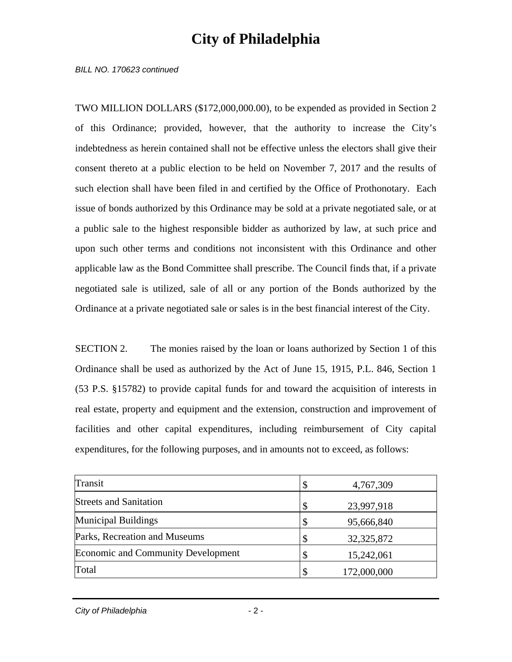*BILL NO. 170623 continued* 

TWO MILLION DOLLARS (\$172,000,000.00), to be expended as provided in Section 2 of this Ordinance; provided, however, that the authority to increase the City's indebtedness as herein contained shall not be effective unless the electors shall give their consent thereto at a public election to be held on November 7, 2017 and the results of such election shall have been filed in and certified by the Office of Prothonotary. Each issue of bonds authorized by this Ordinance may be sold at a private negotiated sale, or at a public sale to the highest responsible bidder as authorized by law, at such price and upon such other terms and conditions not inconsistent with this Ordinance and other applicable law as the Bond Committee shall prescribe. The Council finds that, if a private negotiated sale is utilized, sale of all or any portion of the Bonds authorized by the Ordinance at a private negotiated sale or sales is in the best financial interest of the City.

SECTION 2. The monies raised by the loan or loans authorized by Section 1 of this Ordinance shall be used as authorized by the Act of June 15, 1915, P.L. 846, Section 1 (53 P.S. §15782) to provide capital funds for and toward the acquisition of interests in real estate, property and equipment and the extension, construction and improvement of facilities and other capital expenditures, including reimbursement of City capital expenditures, for the following purposes, and in amounts not to exceed, as follows:

| Transit                                   | 4,767,309        |
|-------------------------------------------|------------------|
| <b>Streets and Sanitation</b>             | \$<br>23,997,918 |
| <b>Municipal Buildings</b>                | 95,666,840       |
| Parks, Recreation and Museums             | 32, 325, 872     |
| <b>Economic and Community Development</b> | 15,242,061       |
| Total                                     | 172,000,000      |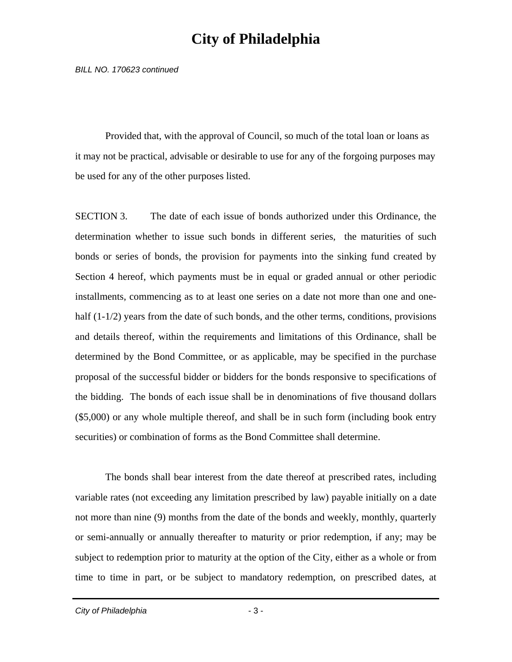*BILL NO. 170623 continued* 

 Provided that, with the approval of Council, so much of the total loan or loans as it may not be practical, advisable or desirable to use for any of the forgoing purposes may be used for any of the other purposes listed.

SECTION 3. The date of each issue of bonds authorized under this Ordinance, the determination whether to issue such bonds in different series, the maturities of such bonds or series of bonds, the provision for payments into the sinking fund created by Section 4 hereof, which payments must be in equal or graded annual or other periodic installments, commencing as to at least one series on a date not more than one and onehalf (1-1/2) years from the date of such bonds, and the other terms, conditions, provisions and details thereof, within the requirements and limitations of this Ordinance, shall be determined by the Bond Committee, or as applicable, may be specified in the purchase proposal of the successful bidder or bidders for the bonds responsive to specifications of the bidding. The bonds of each issue shall be in denominations of five thousand dollars (\$5,000) or any whole multiple thereof, and shall be in such form (including book entry securities) or combination of forms as the Bond Committee shall determine.

 The bonds shall bear interest from the date thereof at prescribed rates, including variable rates (not exceeding any limitation prescribed by law) payable initially on a date not more than nine (9) months from the date of the bonds and weekly, monthly, quarterly or semi-annually or annually thereafter to maturity or prior redemption, if any; may be subject to redemption prior to maturity at the option of the City, either as a whole or from time to time in part, or be subject to mandatory redemption, on prescribed dates, at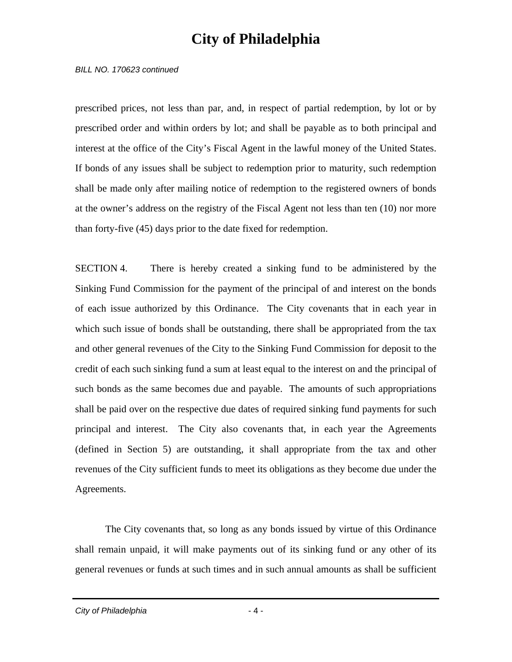*BILL NO. 170623 continued* 

prescribed prices, not less than par, and, in respect of partial redemption, by lot or by prescribed order and within orders by lot; and shall be payable as to both principal and interest at the office of the City's Fiscal Agent in the lawful money of the United States. If bonds of any issues shall be subject to redemption prior to maturity, such redemption shall be made only after mailing notice of redemption to the registered owners of bonds at the owner's address on the registry of the Fiscal Agent not less than ten (10) nor more than forty-five (45) days prior to the date fixed for redemption.

SECTION 4. There is hereby created a sinking fund to be administered by the Sinking Fund Commission for the payment of the principal of and interest on the bonds of each issue authorized by this Ordinance. The City covenants that in each year in which such issue of bonds shall be outstanding, there shall be appropriated from the tax and other general revenues of the City to the Sinking Fund Commission for deposit to the credit of each such sinking fund a sum at least equal to the interest on and the principal of such bonds as the same becomes due and payable. The amounts of such appropriations shall be paid over on the respective due dates of required sinking fund payments for such principal and interest. The City also covenants that, in each year the Agreements (defined in Section 5) are outstanding, it shall appropriate from the tax and other revenues of the City sufficient funds to meet its obligations as they become due under the Agreements.

 The City covenants that, so long as any bonds issued by virtue of this Ordinance shall remain unpaid, it will make payments out of its sinking fund or any other of its general revenues or funds at such times and in such annual amounts as shall be sufficient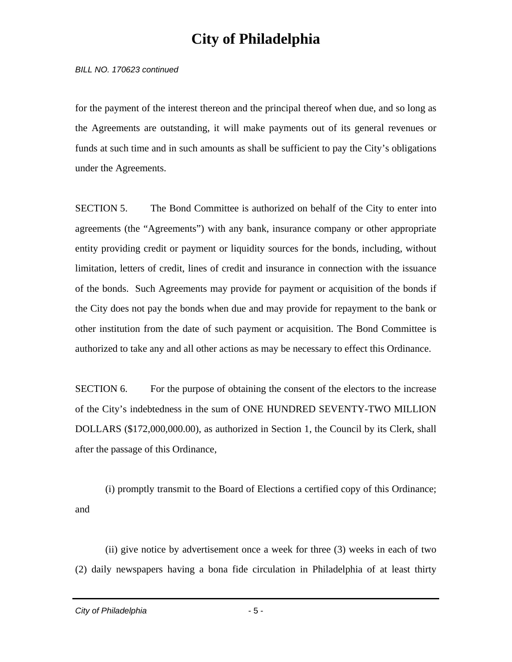*BILL NO. 170623 continued* 

for the payment of the interest thereon and the principal thereof when due, and so long as the Agreements are outstanding, it will make payments out of its general revenues or funds at such time and in such amounts as shall be sufficient to pay the City's obligations under the Agreements.

SECTION 5. The Bond Committee is authorized on behalf of the City to enter into agreements (the "Agreements") with any bank, insurance company or other appropriate entity providing credit or payment or liquidity sources for the bonds, including, without limitation, letters of credit, lines of credit and insurance in connection with the issuance of the bonds. Such Agreements may provide for payment or acquisition of the bonds if the City does not pay the bonds when due and may provide for repayment to the bank or other institution from the date of such payment or acquisition. The Bond Committee is authorized to take any and all other actions as may be necessary to effect this Ordinance.

SECTION 6. For the purpose of obtaining the consent of the electors to the increase of the City's indebtedness in the sum of ONE HUNDRED SEVENTY-TWO MILLION DOLLARS (\$172,000,000.00), as authorized in Section 1, the Council by its Clerk, shall after the passage of this Ordinance,

 (i) promptly transmit to the Board of Elections a certified copy of this Ordinance; and

 (ii) give notice by advertisement once a week for three (3) weeks in each of two (2) daily newspapers having a bona fide circulation in Philadelphia of at least thirty